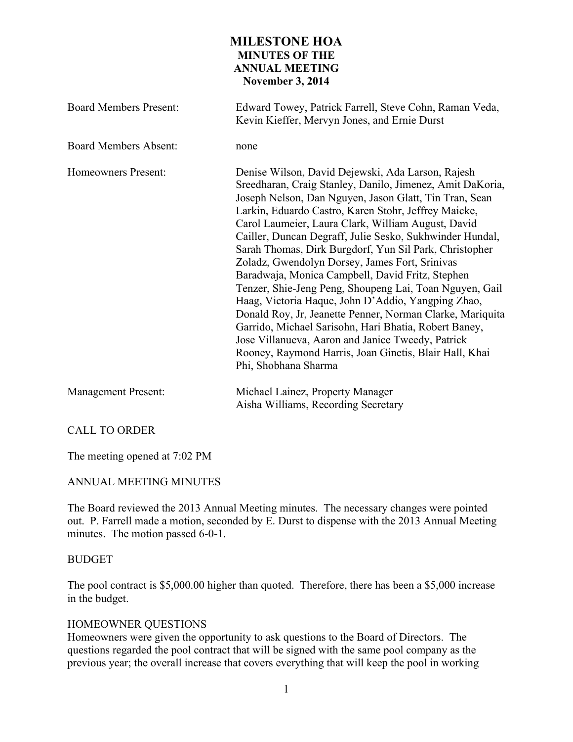# **MILESTONE HOA MINUTES OF THE ANNUAL MEETING November 3, 2014**

| <b>Board Members Present:</b> | Edward Towey, Patrick Farrell, Steve Cohn, Raman Veda,<br>Kevin Kieffer, Mervyn Jones, and Ernie Durst                                                                                                                                                                                                                                                                                                                                                                                                                                                                                                                                                                                                                                                                                                                                                                                           |
|-------------------------------|--------------------------------------------------------------------------------------------------------------------------------------------------------------------------------------------------------------------------------------------------------------------------------------------------------------------------------------------------------------------------------------------------------------------------------------------------------------------------------------------------------------------------------------------------------------------------------------------------------------------------------------------------------------------------------------------------------------------------------------------------------------------------------------------------------------------------------------------------------------------------------------------------|
| <b>Board Members Absent:</b>  | none                                                                                                                                                                                                                                                                                                                                                                                                                                                                                                                                                                                                                                                                                                                                                                                                                                                                                             |
| Homeowners Present:           | Denise Wilson, David Dejewski, Ada Larson, Rajesh<br>Sreedharan, Craig Stanley, Danilo, Jimenez, Amit DaKoria,<br>Joseph Nelson, Dan Nguyen, Jason Glatt, Tin Tran, Sean<br>Larkin, Eduardo Castro, Karen Stohr, Jeffrey Maicke,<br>Carol Laumeier, Laura Clark, William August, David<br>Cailler, Duncan Degraff, Julie Sesko, Sukhwinder Hundal,<br>Sarah Thomas, Dirk Burgdorf, Yun Sil Park, Christopher<br>Zoladz, Gwendolyn Dorsey, James Fort, Srinivas<br>Baradwaja, Monica Campbell, David Fritz, Stephen<br>Tenzer, Shie-Jeng Peng, Shoupeng Lai, Toan Nguyen, Gail<br>Haag, Victoria Haque, John D'Addio, Yangping Zhao,<br>Donald Roy, Jr, Jeanette Penner, Norman Clarke, Mariquita<br>Garrido, Michael Sarisohn, Hari Bhatia, Robert Baney,<br>Jose Villanueva, Aaron and Janice Tweedy, Patrick<br>Rooney, Raymond Harris, Joan Ginetis, Blair Hall, Khai<br>Phi, Shobhana Sharma |
| <b>Management Present:</b>    | Michael Lainez, Property Manager<br>Aisha Williams, Recording Secretary                                                                                                                                                                                                                                                                                                                                                                                                                                                                                                                                                                                                                                                                                                                                                                                                                          |

## CALL TO ORDER

The meeting opened at 7:02 PM

## ANNUAL MEETING MINUTES

The Board reviewed the 2013 Annual Meeting minutes. The necessary changes were pointed out. P. Farrell made a motion, seconded by E. Durst to dispense with the 2013 Annual Meeting minutes. The motion passed 6-0-1.

## BUDGET

The pool contract is \$5,000.00 higher than quoted. Therefore, there has been a \$5,000 increase in the budget.

## HOMEOWNER QUESTIONS

Homeowners were given the opportunity to ask questions to the Board of Directors. The questions regarded the pool contract that will be signed with the same pool company as the previous year; the overall increase that covers everything that will keep the pool in working